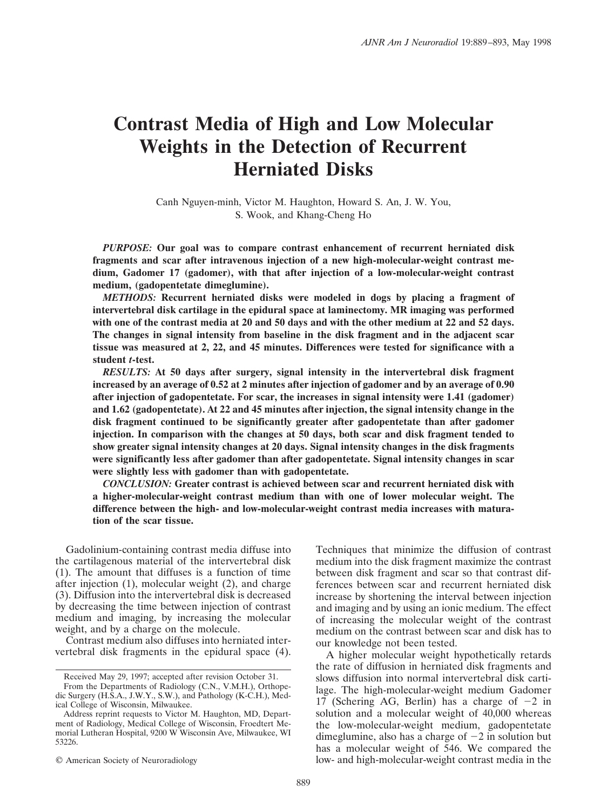# **Contrast Media of High and Low Molecular Weights in the Detection of Recurrent Herniated Disks**

Canh Nguyen-minh, Victor M. Haughton, Howard S. An, J. W. You, S. Wook, and Khang-Cheng Ho

*PURPOSE:* **Our goal was to compare contrast enhancement of recurrent herniated disk fragments and scar after intravenous injection of a new high-molecular-weight contrast medium, Gadomer 17 (gadomer), with that after injection of a low-molecular-weight contrast medium, (gadopentetate dimeglumine).**

*METHODS:* **Recurrent herniated disks were modeled in dogs by placing a fragment of intervertebral disk cartilage in the epidural space at laminectomy. MR imaging was performed with one of the contrast media at 20 and 50 days and with the other medium at 22 and 52 days. The changes in signal intensity from baseline in the disk fragment and in the adjacent scar tissue was measured at 2, 22, and 45 minutes. Differences were tested for significance with a student** *t***-test.**

*RESULTS:* **At 50 days after surgery, signal intensity in the intervertebral disk fragment increased by an average of 0.52 at 2 minutes after injection of gadomer and by an average of 0.90 after injection of gadopentetate. For scar, the increases in signal intensity were 1.41 (gadomer) and 1.62 (gadopentetate). At 22 and 45 minutes after injection, the signal intensity change in the disk fragment continued to be significantly greater after gadopentetate than after gadomer injection. In comparison with the changes at 50 days, both scar and disk fragment tended to show greater signal intensity changes at 20 days. Signal intensity changes in the disk fragments were significantly less after gadomer than after gadopentetate. Signal intensity changes in scar were slightly less with gadomer than with gadopentetate.**

*CONCLUSION:* **Greater contrast is achieved between scar and recurrent herniated disk with a higher-molecular-weight contrast medium than with one of lower molecular weight. The difference between the high- and low-molecular-weight contrast media increases with maturation of the scar tissue.**

Gadolinium-containing contrast media diffuse into the cartilagenous material of the intervertebral disk (1). The amount that diffuses is a function of time after injection (1), molecular weight (2), and charge (3). Diffusion into the intervertebral disk is decreased by decreasing the time between injection of contrast medium and imaging, by increasing the molecular weight, and by a charge on the molecule.

Contrast medium also diffuses into herniated intervertebral disk fragments in the epidural space (4).

© American Society of Neuroradiology

Techniques that minimize the diffusion of contrast medium into the disk fragment maximize the contrast between disk fragment and scar so that contrast differences between scar and recurrent herniated disk increase by shortening the interval between injection and imaging and by using an ionic medium. The effect of increasing the molecular weight of the contrast medium on the contrast between scar and disk has to our knowledge not been tested.

A higher molecular weight hypothetically retards the rate of diffusion in herniated disk fragments and slows diffusion into normal intervertebral disk cartilage. The high-molecular-weight medium Gadomer 17 (Schering AG, Berlin) has a charge of  $-2$  in solution and a molecular weight of 40,000 whereas the low-molecular-weight medium, gadopentetate dimeglumine, also has a charge of  $-2$  in solution but has a molecular weight of 546. We compared the low- and high-molecular-weight contrast media in the

Received May 29, 1997; accepted after revision October 31.

From the Departments of Radiology (C.N., V.M.H.), Orthopedic Surgery (H.S.A., J.W.Y., S.W.), and Pathology (K-C.H.), Medical College of Wisconsin, Milwaukee.

Address reprint requests to Victor M. Haughton, MD, Department of Radiology, Medical College of Wisconsin, Froedtert Memorial Lutheran Hospital, 9200 W Wisconsin Ave, Milwaukee, WI 53226.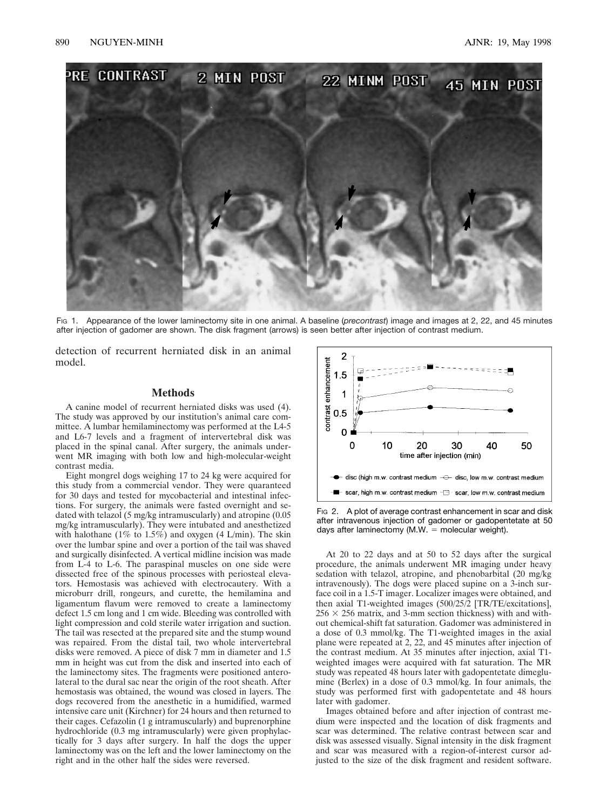

FIG 1. Appearance of the lower laminectomy site in one animal. A baseline (*precontrast*) image and images at 2, 22, and 45 minutes after injection of gadomer are shown. The disk fragment (arrows) is seen better after injection of contrast medium.

detection of recurrent herniated disk in an animal model.

### **Methods**

A canine model of recurrent herniated disks was used (4). The study was approved by our institution's animal care committee. A lumbar hemilaminectomy was performed at the L4-5 and L6-7 levels and a fragment of intervertebral disk was placed in the spinal canal. After surgery, the animals underwent MR imaging with both low and high-molecular-weight contrast media.

Eight mongrel dogs weighing 17 to 24 kg were acquired for this study from a commercial vendor. They were quaranteed for 30 days and tested for mycobacterial and intestinal infections. For surgery, the animals were fasted overnight and sedated with telazol (5 mg/kg intramuscularly) and atropine (0.05 mg/kg intramuscularly). They were intubated and anesthetized with halothane ( $1\%$  to  $1.5\%$ ) and oxygen (4 L/min). The skin over the lumbar spine and over a portion of the tail was shaved and surgically disinfected. A vertical midline incision was made from L-4 to L-6. The paraspinal muscles on one side were dissected free of the spinous processes with periosteal elevators. Hemostasis was achieved with electrocautery. With a microburr drill, rongeurs, and curette, the hemilamina and ligamentum flavum were removed to create a laminectomy defect 1.5 cm long and 1 cm wide. Bleeding was controlled with light compression and cold sterile water irrigation and suction. The tail was resected at the prepared site and the stump wound was repaired. From the distal tail, two whole intervertebral disks were removed. A piece of disk 7 mm in diameter and 1.5 mm in height was cut from the disk and inserted into each of the laminectomy sites. The fragments were positioned anterolateral to the dural sac near the origin of the root sheath. After hemostasis was obtained, the wound was closed in layers. The dogs recovered from the anesthetic in a humidified, warmed intensive care unit (Kirchner) for 24 hours and then returned to their cages. Cefazolin (1 g intramuscularly) and buprenorphine hydrochloride (0.3 mg intramuscularly) were given prophylactically for 3 days after surgery. In half the dogs the upper laminectomy was on the left and the lower laminectomy on the right and in the other half the sides were reversed.



F<sub>IG</sub> 2. A plot of average contrast enhancement in scar and disk after intravenous injection of gadomer or gadopentetate at 50 days after laminectomy  $(M.W. = molecular weight)$ .

At 20 to 22 days and at 50 to 52 days after the surgical procedure, the animals underwent MR imaging under heavy sedation with telazol, atropine, and phenobarbital (20 mg/kg intravenously). The dogs were placed supine on a 3-inch surface coil in a 1.5-T imager. Localizer images were obtained, and then axial T1-weighted images (500/25/2 [TR/TE/excitations],  $256 \times 256$  matrix, and 3-mm section thickness) with and without chemical-shift fat saturation. Gadomer was administered in a dose of 0.3 mmol/kg. The T1-weighted images in the axial plane were repeated at 2, 22, and 45 minutes after injection of the contrast medium. At 35 minutes after injection, axial T1 weighted images were acquired with fat saturation. The MR study was repeated 48 hours later with gadopentetate dimeglumine (Berlex) in a dose of 0.3 mmol/kg. In four animals, the study was performed first with gadopentetate and 48 hours later with gadomer.

Images obtained before and after injection of contrast medium were inspected and the location of disk fragments and scar was determined. The relative contrast between scar and disk was assessed visually. Signal intensity in the disk fragment and scar was measured with a region-of-interest cursor adjusted to the size of the disk fragment and resident software.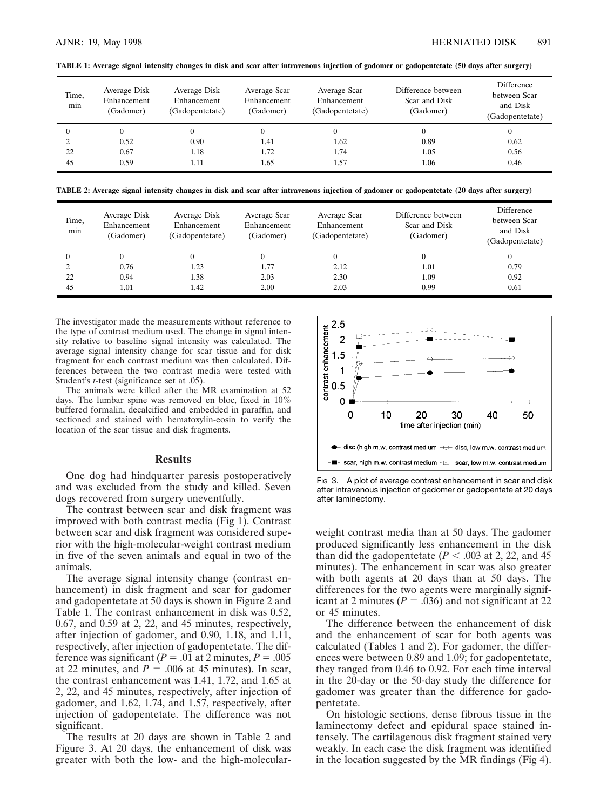| TABLE 1: Average signal intensity changes in disk and scar after intravenous injection of gadomer or gadopentetate (50 days after surgery) |  |
|--------------------------------------------------------------------------------------------------------------------------------------------|--|
|--------------------------------------------------------------------------------------------------------------------------------------------|--|

| Time,<br>min | Average Disk<br>Enhancement<br>(Gadomer) | Average Disk<br>Enhancement<br>(Gadopentetate) | Average Scar<br>Enhancement<br>(Gadomer) | Average Scar<br>Enhancement<br>(Gadopentetate) | Difference between<br>Scar and Disk<br>(Gadomer) | Difference<br>between Scar<br>and Disk<br>(Gadopentetate) |
|--------------|------------------------------------------|------------------------------------------------|------------------------------------------|------------------------------------------------|--------------------------------------------------|-----------------------------------------------------------|
|              |                                          | $\theta$                                       |                                          |                                                |                                                  | 0                                                         |
|              | 0.52                                     | 0.90                                           | 1.41                                     | 1.62                                           | 0.89                                             | 0.62                                                      |
| 22           | 0.67                                     | 1.18                                           | 1.72                                     | 1.74                                           | 1.05                                             | 0.56                                                      |
| 45           | 0.59                                     | 1.11                                           | 1.65                                     | 1.57                                           | 1.06                                             | 0.46                                                      |

**TABLE 2: Average signal intensity changes in disk and scar after intravenous injection of gadomer or gadopentetate (20 days after surgery)**

| Time,<br>min | Average Disk<br>Enhancement<br>(Gadomer) | Average Disk<br>Enhancement<br>(Gadopentetate) | Average Scar<br>Enhancement<br>(Gadomer) | Average Scar<br>Enhancement<br>(Gadopentetate) | Difference between<br>Scar and Disk<br>(Gadomer) | Difference<br>between Scar<br>and Disk<br>(Gadopentetate) |
|--------------|------------------------------------------|------------------------------------------------|------------------------------------------|------------------------------------------------|--------------------------------------------------|-----------------------------------------------------------|
|              |                                          | v                                              |                                          |                                                |                                                  | 0                                                         |
|              | 0.76                                     | .23                                            | 1.77                                     | 2.12                                           | 1.01                                             | 0.79                                                      |
| 22           | 0.94                                     | 1.38                                           | 2.03                                     | 2.30                                           | 1.09                                             | 0.92                                                      |
| 45           | $1.01\,$                                 | .42                                            | 2.00                                     | 2.03                                           | 0.99                                             | 0.61                                                      |

The investigator made the measurements without reference to the type of contrast medium used. The change in signal intensity relative to baseline signal intensity was calculated. The average signal intensity change for scar tissue and for disk fragment for each contrast medium was then calculated. Differences between the two contrast media were tested with Student's *t*-test (significance set at .05).

The animals were killed after the MR examination at 52 days. The lumbar spine was removed en bloc, fixed in 10% buffered formalin, decalcified and embedded in paraffin, and sectioned and stained with hematoxylin-eosin to verify the location of the scar tissue and disk fragments.

### **Results**

One dog had hindquarter paresis postoperatively and was excluded from the study and killed. Seven dogs recovered from surgery uneventfully.

The contrast between scar and disk fragment was improved with both contrast media (Fig 1). Contrast between scar and disk fragment was considered superior with the high-molecular-weight contrast medium in five of the seven animals and equal in two of the animals.

The average signal intensity change (contrast enhancement) in disk fragment and scar for gadomer and gadopentetate at 50 days is shown in Figure 2 and Table 1. The contrast enhancement in disk was 0.52, 0.67, and 0.59 at 2, 22, and 45 minutes, respectively, after injection of gadomer, and 0.90, 1.18, and 1.11, respectively, after injection of gadopentetate. The difference was significant ( $P = .01$  at 2 minutes,  $P = .005$ at 22 minutes, and  $P = .006$  at 45 minutes). In scar, the contrast enhancement was 1.41, 1.72, and 1.65 at 2, 22, and 45 minutes, respectively, after injection of gadomer, and 1.62, 1.74, and 1.57, respectively, after injection of gadopentetate. The difference was not significant.

The results at 20 days are shown in Table 2 and Figure 3. At 20 days, the enhancement of disk was greater with both the low- and the high-molecular-



F<sub>IG</sub> 3. A plot of average contrast enhancement in scar and disk after intravenous injection of gadomer or gadopentate at 20 days after laminectomy.

weight contrast media than at 50 days. The gadomer produced significantly less enhancement in the disk than did the gadopentetate  $(P < .003$  at 2, 22, and 45 minutes). The enhancement in scar was also greater with both agents at 20 days than at 50 days. The differences for the two agents were marginally significant at 2 minutes ( $P = .036$ ) and not significant at 22 or 45 minutes.

The difference between the enhancement of disk and the enhancement of scar for both agents was calculated (Tables 1 and 2). For gadomer, the differences were between 0.89 and 1.09; for gadopentetate, they ranged from 0.46 to 0.92. For each time interval in the 20-day or the 50-day study the difference for gadomer was greater than the difference for gadopentetate.

On histologic sections, dense fibrous tissue in the laminectomy defect and epidural space stained intensely. The cartilagenous disk fragment stained very weakly. In each case the disk fragment was identified in the location suggested by the MR findings (Fig 4).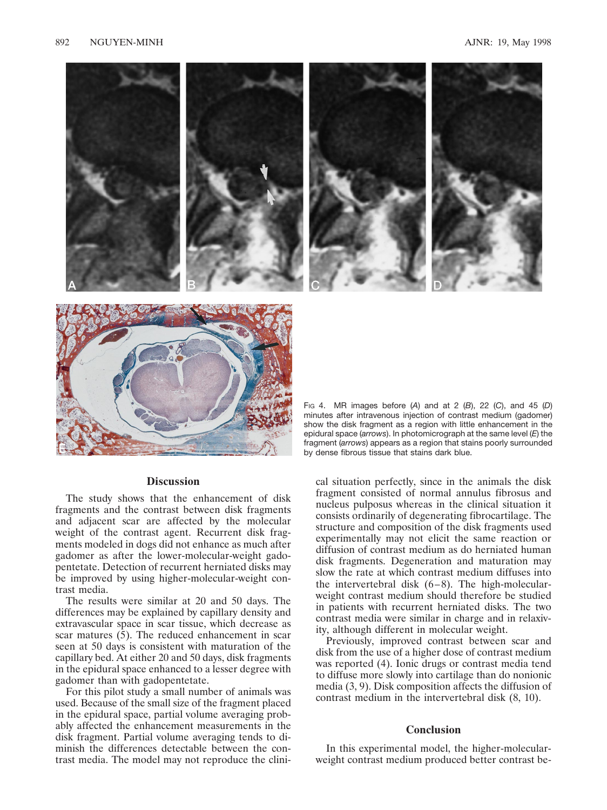

# **Discussion**

The study shows that the enhancement of disk fragments and the contrast between disk fragments and adjacent scar are affected by the molecular weight of the contrast agent. Recurrent disk fragments modeled in dogs did not enhance as much after gadomer as after the lower-molecular-weight gadopentetate. Detection of recurrent herniated disks may be improved by using higher-molecular-weight contrast media.

The results were similar at 20 and 50 days. The differences may be explained by capillary density and extravascular space in scar tissue, which decrease as scar matures (5). The reduced enhancement in scar seen at 50 days is consistent with maturation of the capillary bed. At either 20 and 50 days, disk fragments in the epidural space enhanced to a lesser degree with gadomer than with gadopentetate.

For this pilot study a small number of animals was used. Because of the small size of the fragment placed in the epidural space, partial volume averaging probably affected the enhancement measurements in the disk fragment. Partial volume averaging tends to diminish the differences detectable between the contrast media. The model may not reproduce the clini-

minutes after intravenous injection of contrast medium (gadomer) show the disk fragment as a region with little enhancement in the epidural space (*arrows*). In photomicrograph at the same level (*E*) the fragment (*arrows*) appears as a region that stains poorly surrounded by dense fibrous tissue that stains dark blue.

cal situation perfectly, since in the animals the disk fragment consisted of normal annulus fibrosus and nucleus pulposus whereas in the clinical situation it consists ordinarily of degenerating fibrocartilage. The structure and composition of the disk fragments used experimentally may not elicit the same reaction or diffusion of contrast medium as do herniated human disk fragments. Degeneration and maturation may slow the rate at which contrast medium diffuses into the intervertebral disk (6–8). The high-molecularweight contrast medium should therefore be studied in patients with recurrent herniated disks. The two contrast media were similar in charge and in relaxivity, although different in molecular weight.

Previously, improved contrast between scar and disk from the use of a higher dose of contrast medium was reported (4). Ionic drugs or contrast media tend to diffuse more slowly into cartilage than do nonionic media (3, 9). Disk composition affects the diffusion of contrast medium in the intervertebral disk (8, 10).

#### **Conclusion**

In this experimental model, the higher-molecularweight contrast medium produced better contrast be